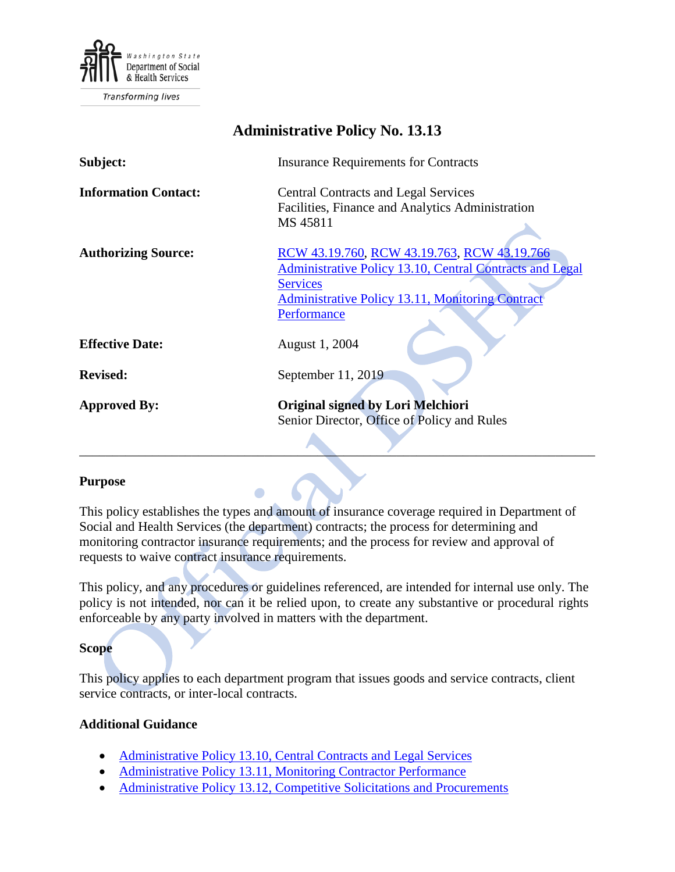

**Transforming lives** 

| <b>Administrative Policy No. 13.13</b> |                                                                                                                                                                                                             |
|----------------------------------------|-------------------------------------------------------------------------------------------------------------------------------------------------------------------------------------------------------------|
| Subject:                               | <b>Insurance Requirements for Contracts</b>                                                                                                                                                                 |
| <b>Information Contact:</b>            | <b>Central Contracts and Legal Services</b><br>Facilities, Finance and Analytics Administration<br>MS 45811                                                                                                 |
| <b>Authorizing Source:</b>             | RCW 43.19.760, RCW 43.19.763, RCW 43.19.766<br><b>Administrative Policy 13.10, Central Contracts and Legal</b><br><b>Services</b><br><b>Administrative Policy 13.11, Monitoring Contract</b><br>Performance |
| <b>Effective Date:</b>                 | August 1, 2004                                                                                                                                                                                              |
| <b>Revised:</b>                        | September 11, 2019                                                                                                                                                                                          |
| <b>Approved By:</b>                    | Original signed by Lori Melchiori<br>Senior Director, Office of Policy and Rules                                                                                                                            |

#### **Purpose**

This policy establishes the types and amount of insurance coverage required in Department of Social and Health Services (the department) contracts; the process for determining and monitoring contractor insurance requirements; and the process for review and approval of requests to waive contract insurance requirements.

This policy, and any procedures or guidelines referenced, are intended for internal use only. The policy is not intended, nor can it be relied upon, to create any substantive or procedural rights enforceable by any party involved in matters with the department.

#### **Scope**

This policy applies to each department program that issues goods and service contracts, client service contracts, or inter-local contracts.

#### **Additional Guidance**

- [Administrative Policy 13.10, Central Contracts and Legal](http://one.dshs.wa.lcl/Policies/Administrative/DSHS-AP-13-10.pdf) Services
- [Administrative Policy 13.11, Monitoring Contractor Performance](http://one.dshs.wa.lcl/Policies/Administrative/DSHS-AP-13-11.pdf)
- Administrative Policy [13.12, Competitive Solicitations and Procurements](http://one.dshs.wa.lcl/Policies/Administrative/DSHS-AP-13-12.pdf)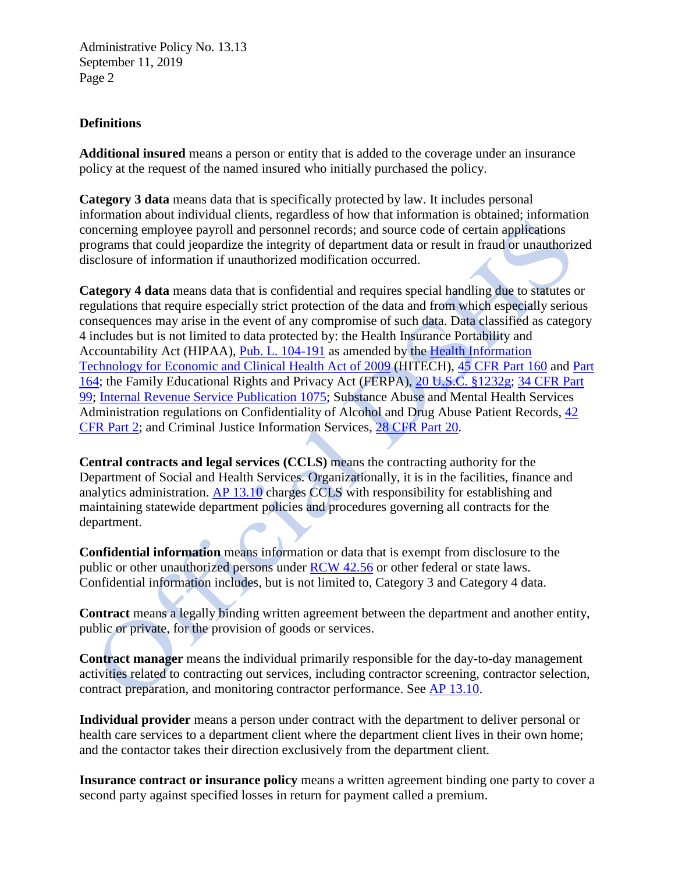### **Definitions**

**Additional insured** means a person or entity that is added to the coverage under an insurance policy at the request of the named insured who initially purchased the policy.

**Category 3 data** means data that is specifically protected by law. It includes personal information about individual clients, regardless of how that information is obtained; information concerning employee payroll and personnel records; and source code of certain applications programs that could jeopardize the integrity of department data or result in fraud or unauthorized disclosure of information if unauthorized modification occurred.

**Category 4 data** means data that is confidential and requires special handling due to statutes or regulations that require especially strict protection of the data and from which especially serious consequences may arise in the event of any compromise of such data. Data classified as category 4 includes but is not limited to data protected by: the Health Insurance Portability and Accountability Act (HIPAA), [Pub. L. 104-191](https://www.govinfo.gov/content/pkg/PLAW-104publ191/pdf/PLAW-104publ191.pdf) as amended by the [Health Information](https://www.govinfo.gov/content/pkg/STATUTE-123/pdf/STATUTE-123-Pg115.pdf)  [Technology for Economic and Clinical Health Act of 2009](https://www.govinfo.gov/content/pkg/STATUTE-123/pdf/STATUTE-123-Pg115.pdf) (HITECH), [45 CFR Part](https://www.ecfr.gov/cgi-bin/text-idx?tpl=/ecfrbrowse/Title45/45cfr160_main_02.tpl) 160 and [Part](https://www.ecfr.gov/cgi-bin/text-idx?tpl=/ecfrbrowse/Title45/45cfr164_main_02.tpl)  [164;](https://www.ecfr.gov/cgi-bin/text-idx?tpl=/ecfrbrowse/Title45/45cfr164_main_02.tpl) the Family Educational Rights and Privacy Act (FERPA), [20 U.S.C. §1232g;](https://www.govinfo.gov/content/pkg/USCODE-2011-title20/pdf/USCODE-2011-title20-chap31-subchapIII-part4-sec1232g.pdf) [34 CFR Part](https://www.ecfr.gov/cgi-bin/text-idx?tpl=/ecfrbrowse/Title34/34cfr99_main_02.tpl)  [99;](https://www.ecfr.gov/cgi-bin/text-idx?tpl=/ecfrbrowse/Title34/34cfr99_main_02.tpl) [Internal Revenue Service Publication 1075;](https://www.irs.gov/pub/irs-pdf/p1075.pdf) Substance Abuse and Mental Health Services Administration regulations on Confidentiality of Alcohol and Drug Abuse Patient Records, [42](https://www.ecfr.gov/cgi-bin/text-idx?rgn=div5;node=42%3A1.0.1.1.2)  [CFR Part 2;](https://www.ecfr.gov/cgi-bin/text-idx?rgn=div5;node=42%3A1.0.1.1.2) and Criminal Justice Information Services, [28 CFR Part 20.](https://www.govinfo.gov/content/pkg/CFR-2000-title28-vol1/xml/CFR-2000-title28-vol1-part20.xml)

**Central contracts and legal services (CCLS)** means the contracting authority for the Department of Social and Health Services. Organizationally, it is in the facilities, finance and analytics administration. [AP 13.10](http://one.dshs.wa.lcl/Policies/Administrative/DSHS-AP-13-10.pdf) charges CCLS with responsibility for establishing and maintaining statewide department policies and procedures governing all contracts for the department.

**Confidential information** means information or data that is exempt from disclosure to the public or other unauthorized persons under [RCW 42.56](https://apps.leg.wa.gov/rcw/default.aspx?cite=42.56) or other federal or state laws. Confidential information includes, but is not limited to, Category 3 and Category 4 data.

**Contract** means a legally binding written agreement between the department and another entity, public or private, for the provision of goods or services.

**Contract manager** means the individual primarily responsible for the day-to-day management activities related to contracting out services, including contractor screening, contractor selection, contract preparation, and monitoring contractor performance. See [AP 13.10.](http://one.dshs.wa.lcl/Policies/Administrative/DSHS-AP-13-10.pdf)

**Individual provider** means a person under contract with the department to deliver personal or health care services to a department client where the department client lives in their own home; and the contactor takes their direction exclusively from the department client.

**Insurance contract or insurance policy** means a written agreement binding one party to cover a second party against specified losses in return for payment called a premium.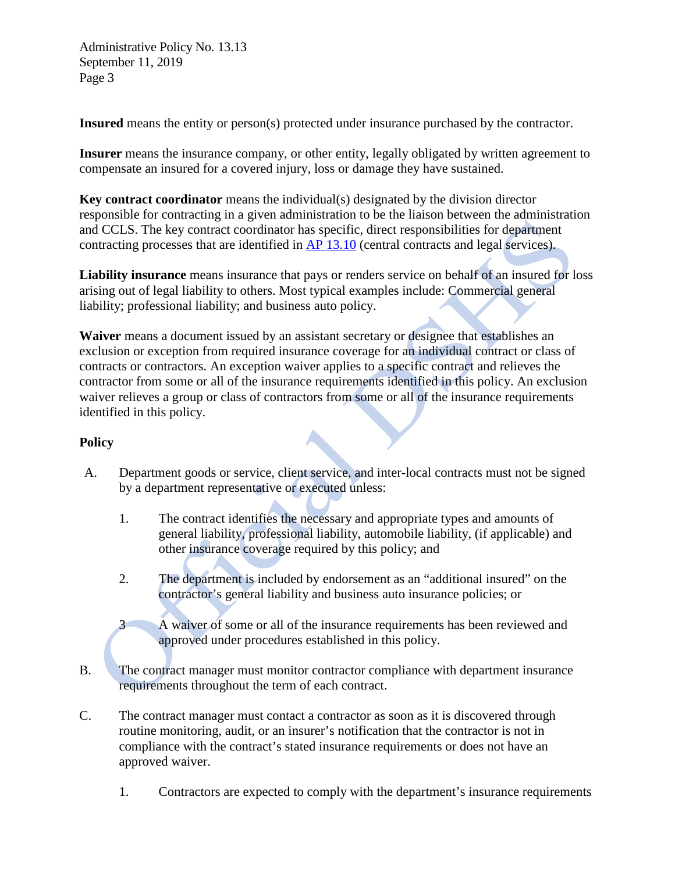**Insured** means the entity or person(s) protected under insurance purchased by the contractor.

**Insurer** means the insurance company, or other entity, legally obligated by written agreement to compensate an insured for a covered injury, loss or damage they have sustained.

**Key contract coordinator** means the individual(s) designated by the division director responsible for contracting in a given administration to be the liaison between the administration and CCLS. The key contract coordinator has specific, direct responsibilities for department contracting processes that are identified in [AP 13.10](http://one.dshs.wa.lcl/Policies/Administrative/DSHS-AP-13-10.pdf) (central contracts and legal services).

**Liability insurance** means insurance that pays or renders service on behalf of an insured for loss arising out of legal liability to others. Most typical examples include: Commercial general liability; professional liability; and business auto policy.

**Waiver** means a document issued by an assistant secretary or designee that establishes an exclusion or exception from required insurance coverage for an individual contract or class of contracts or contractors. An exception waiver applies to a specific contract and relieves the contractor from some or all of the insurance requirements identified in this policy. An exclusion waiver relieves a group or class of contractors from some or all of the insurance requirements identified in this policy.

## **Policy**

- A. Department goods or service, client service, and inter-local contracts must not be signed by a department representative or executed unless:
	- 1. The contract identifies the necessary and appropriate types and amounts of general liability, professional liability, automobile liability, (if applicable) and other insurance coverage required by this policy; and
	- 2. The department is included by endorsement as an "additional insured" on the contractor's general liability and business auto insurance policies; or

3 A waiver of some or all of the insurance requirements has been reviewed and approved under procedures established in this policy.

- B. The contract manager must monitor contractor compliance with department insurance requirements throughout the term of each contract.
- C. The contract manager must contact a contractor as soon as it is discovered through routine monitoring, audit, or an insurer's notification that the contractor is not in compliance with the contract's stated insurance requirements or does not have an approved waiver.
	- 1. Contractors are expected to comply with the department's insurance requirements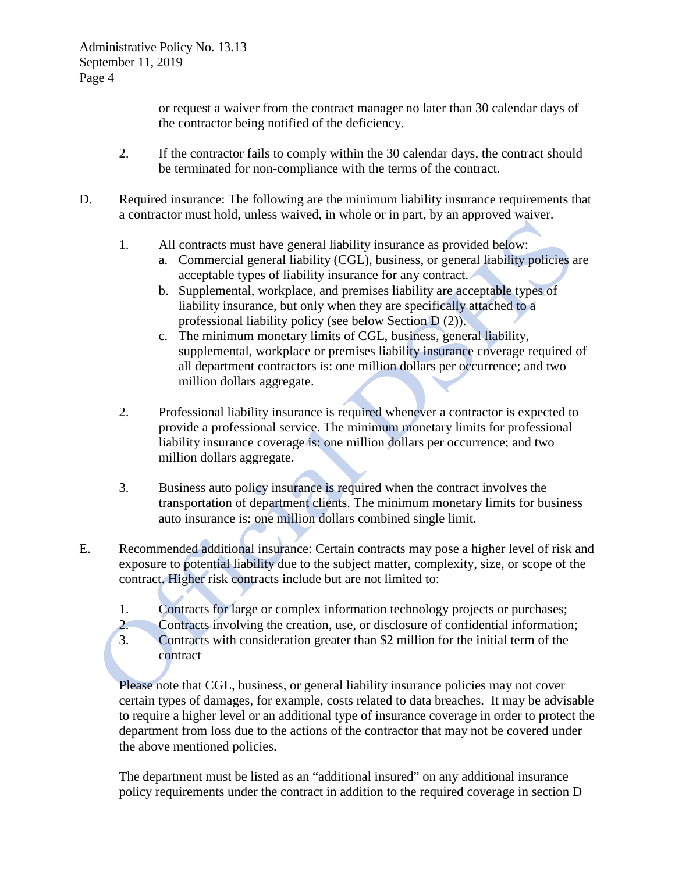or request a waiver from the contract manager no later than 30 calendar days of the contractor being notified of the deficiency.

- 2. If the contractor fails to comply within the 30 calendar days, the contract should be terminated for non-compliance with the terms of the contract.
- D. Required insurance: The following are the minimum liability insurance requirements that a contractor must hold, unless waived, in whole or in part, by an approved waiver.
	- 1. All contracts must have general liability insurance as provided below:
		- a. Commercial general liability (CGL), business, or general liability policies are acceptable types of liability insurance for any contract.
		- b. Supplemental, workplace, and premises liability are acceptable types of liability insurance, but only when they are specifically attached to a professional liability policy (see below Section D (2)).
		- c. The minimum monetary limits of CGL, business, general liability, supplemental, workplace or premises liability insurance coverage required of all department contractors is: one million dollars per occurrence; and two million dollars aggregate.
	- 2. Professional liability insurance is required whenever a contractor is expected to provide a professional service. The minimum monetary limits for professional liability insurance coverage is: one million dollars per occurrence; and two million dollars aggregate.
	- 3. Business auto policy insurance is required when the contract involves the transportation of department clients. The minimum monetary limits for business auto insurance is: one million dollars combined single limit.
- E. Recommended additional insurance: Certain contracts may pose a higher level of risk and exposure to potential liability due to the subject matter, complexity, size, or scope of the contract. Higher risk contracts include but are not limited to:
	- 1. Contracts for large or complex information technology projects or purchases;
	- 2. Contracts involving the creation, use, or disclosure of confidential information;
	- 3. Contracts with consideration greater than \$2 million for the initial term of the contract

Please note that CGL, business, or general liability insurance policies may not cover certain types of damages, for example, costs related to data breaches. It may be advisable to require a higher level or an additional type of insurance coverage in order to protect the department from loss due to the actions of the contractor that may not be covered under the above mentioned policies.

The department must be listed as an "additional insured" on any additional insurance policy requirements under the contract in addition to the required coverage in section D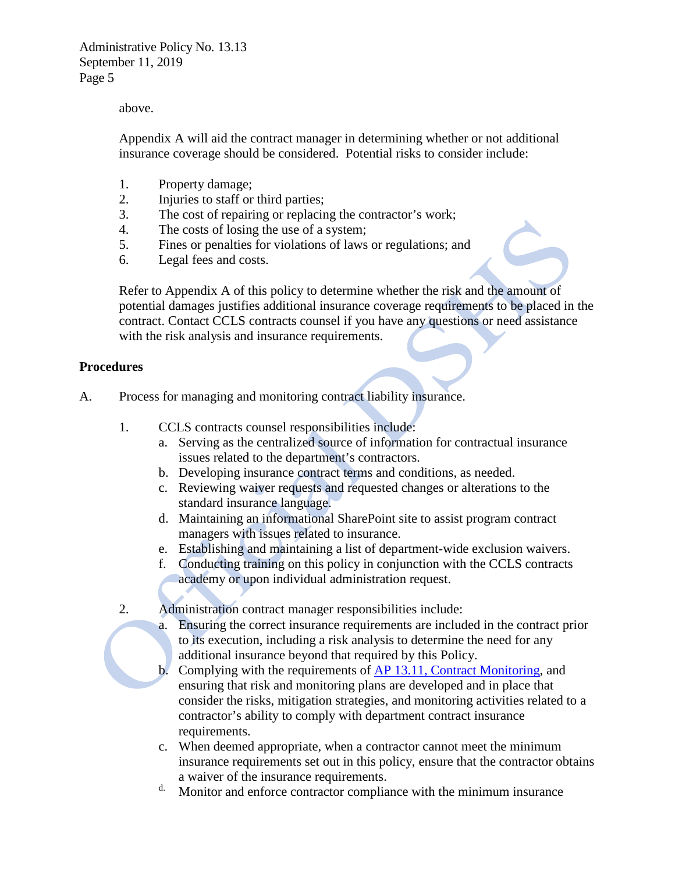#### above.

Appendix A will aid the contract manager in determining whether or not additional insurance coverage should be considered. Potential risks to consider include:

- 1. Property damage;
- 2. Injuries to staff or third parties;
- 3. The cost of repairing or replacing the contractor's work;
- 4. The costs of losing the use of a system;
- 5. Fines or penalties for violations of laws or regulations; and
- 6. Legal fees and costs.

Refer to Appendix A of this policy to determine whether the risk and the amount of potential damages justifies additional insurance coverage requirements to be placed in the contract. Contact CCLS contracts counsel if you have any questions or need assistance with the risk analysis and insurance requirements.

#### **Procedures**

- A. Process for managing and monitoring contract liability insurance.
	- 1. CCLS contracts counsel responsibilities include:
		- a. Serving as the centralized source of information for contractual insurance issues related to the department's contractors.
		- b. Developing insurance contract terms and conditions, as needed.
		- c. Reviewing waiver requests and requested changes or alterations to the standard insurance language.
		- d. Maintaining an informational SharePoint site to assist program contract managers with issues related to insurance.
		- e. Establishing and maintaining a list of department-wide exclusion waivers.
		- f. Conducting training on this policy in conjunction with the CCLS contracts academy or upon individual administration request.
	- 2. Administration contract manager responsibilities include:
		- a. Ensuring the correct insurance requirements are included in the contract prior to its execution, including a risk analysis to determine the need for any additional insurance beyond that required by this Policy.
		- b. Complying with the requirements of AP [13.11, Contract Monitoring,](http://one.dshs.wa.lcl/Policies/Administrative/DSHS-AP-13-11.pdf) and ensuring that risk and monitoring plans are developed and in place that consider the risks, mitigation strategies, and monitoring activities related to a contractor's ability to comply with department contract insurance requirements.
		- c. When deemed appropriate, when a contractor cannot meet the minimum insurance requirements set out in this policy, ensure that the contractor obtains
		- a waiver of the insurance requirements. d. Monitor and enforce contractor compliance with the minimum insurance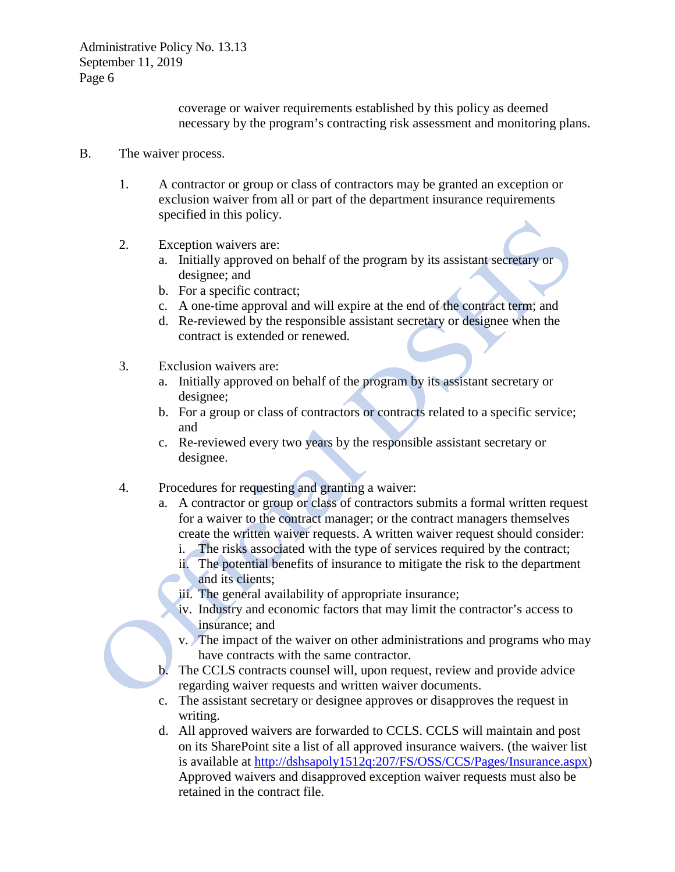coverage or waiver requirements established by this policy as deemed necessary by the program's contracting risk assessment and monitoring plans.

#### B. The waiver process.

- 1. A contractor or group or class of contractors may be granted an exception or exclusion waiver from all or part of the department insurance requirements specified in this policy.
- 2. Exception waivers are:
	- a. Initially approved on behalf of the program by its assistant secretary or designee; and
	- b. For a specific contract;
	- c. A one-time approval and will expire at the end of the contract term; and
	- d. Re-reviewed by the responsible assistant secretary or designee when the contract is extended or renewed.
- 3. Exclusion waivers are:
	- a. Initially approved on behalf of the program by its assistant secretary or designee;
	- b. For a group or class of contractors or contracts related to a specific service; and
	- c. Re-reviewed every two years by the responsible assistant secretary or designee.
- 4. Procedures for requesting and granting a waiver:
	- a. A contractor or group or class of contractors submits a formal written request for a waiver to the contract manager; or the contract managers themselves create the written waiver requests. A written waiver request should consider:
		- i. The risks associated with the type of services required by the contract;
		- ii. The potential benefits of insurance to mitigate the risk to the department and its clients;
		- iii. The general availability of appropriate insurance;
		- iv. Industry and economic factors that may limit the contractor's access to insurance; and
		- v. The impact of the waiver on other administrations and programs who may have contracts with the same contractor.
	- b. The CCLS contracts counsel will, upon request, review and provide advice regarding waiver requests and written waiver documents.
	- c. The assistant secretary or designee approves or disapproves the request in writing.
	- d. All approved waivers are forwarded to CCLS. CCLS will maintain and post on its SharePoint site a list of all approved insurance waivers. (the waiver list is available at [http://dshsapoly1512q:207/FS/OSS/CCS/Pages/Insurance.aspx\)](http://dshsapoly1512q:207/FS/OSS/CCS/Pages/Insurance.aspx) Approved waivers and disapproved exception waiver requests must also be retained in the contract file.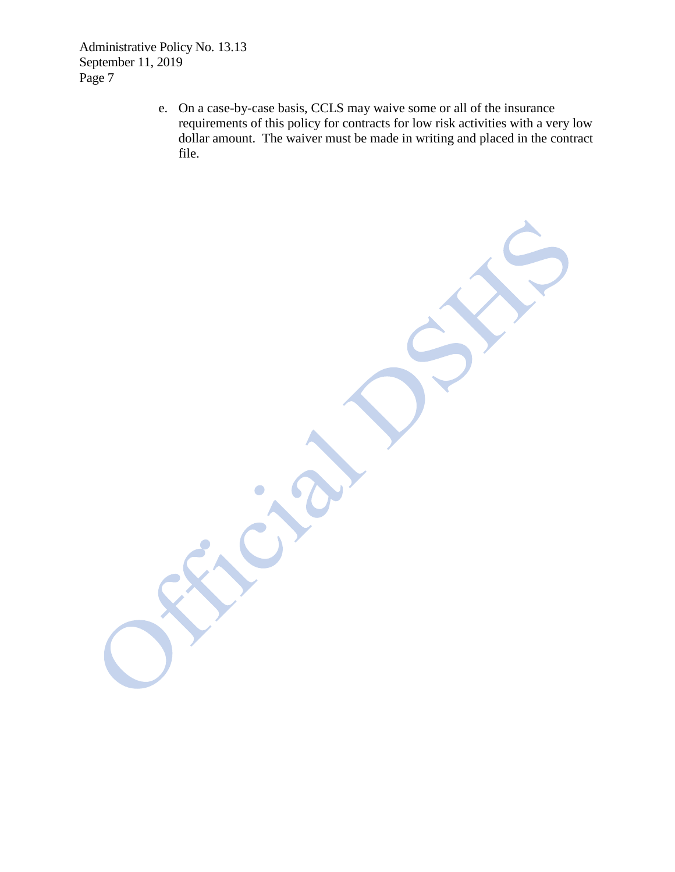> e. On a case-by-case basis, CCLS may waive some or all of the insurance requirements of this policy for contracts for low risk activities with a very low dollar amount. The waiver must be made in writing and placed in the contract file.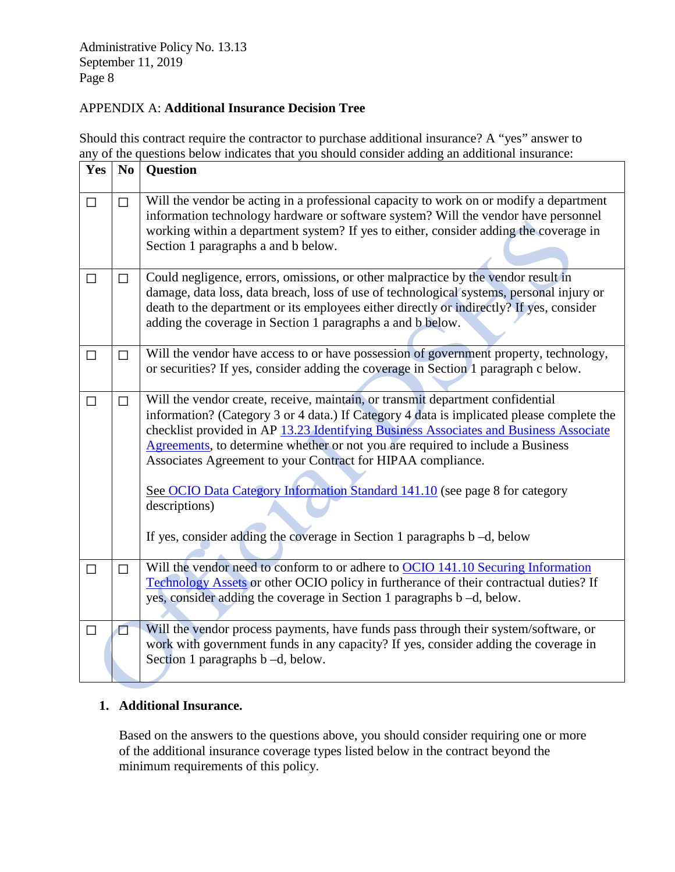## APPENDIX A: **Additional Insurance Decision Tree**

Should this contract require the contractor to purchase additional insurance? A "yes" answer to any of the questions below indicates that you should consider adding an additional insurance:

| Yes    | $\mathbf{N}\mathbf{0}$ | Question                                                                                                                                                                                                                                                                                                                                                                                                                                                                                                                                                                                          |
|--------|------------------------|---------------------------------------------------------------------------------------------------------------------------------------------------------------------------------------------------------------------------------------------------------------------------------------------------------------------------------------------------------------------------------------------------------------------------------------------------------------------------------------------------------------------------------------------------------------------------------------------------|
| $\Box$ | $\Box$                 | Will the vendor be acting in a professional capacity to work on or modify a department<br>information technology hardware or software system? Will the vendor have personnel<br>working within a department system? If yes to either, consider adding the coverage in<br>Section 1 paragraphs a and b below.                                                                                                                                                                                                                                                                                      |
| $\Box$ | $\Box$                 | Could negligence, errors, omissions, or other malpractice by the vendor result in<br>damage, data loss, data breach, loss of use of technological systems, personal injury or<br>death to the department or its employees either directly or indirectly? If yes, consider<br>adding the coverage in Section 1 paragraphs a and b below.                                                                                                                                                                                                                                                           |
| $\Box$ | $\Box$                 | Will the vendor have access to or have possession of government property, technology,<br>or securities? If yes, consider adding the coverage in Section 1 paragraph c below.                                                                                                                                                                                                                                                                                                                                                                                                                      |
| $\Box$ | $\Box$                 | Will the vendor create, receive, maintain, or transmit department confidential<br>information? (Category 3 or 4 data.) If Category 4 data is implicated please complete the<br>checklist provided in AP 13.23 Identifying Business Associates and Business Associate<br>Agreements, to determine whether or not you are required to include a Business<br>Associates Agreement to your Contract for HIPAA compliance.<br>See OCIO Data Category Information Standard 141.10 (see page 8 for category<br>descriptions)<br>If yes, consider adding the coverage in Section 1 paragraphs b -d, below |
| $\Box$ | $\Box$                 | Will the vendor need to conform to or adhere to OCIO 141.10 Securing Information<br>Technology Assets or other OCIO policy in furtherance of their contractual duties? If<br>yes, consider adding the coverage in Section 1 paragraphs b -d, below.                                                                                                                                                                                                                                                                                                                                               |
| $\Box$ | О                      | Will the vendor process payments, have funds pass through their system/software, or<br>work with government funds in any capacity? If yes, consider adding the coverage in<br>Section 1 paragraphs b -d, below.                                                                                                                                                                                                                                                                                                                                                                                   |

# **1. Additional Insurance.**

Based on the answers to the questions above, you should consider requiring one or more of the additional insurance coverage types listed below in the contract beyond the minimum requirements of this policy.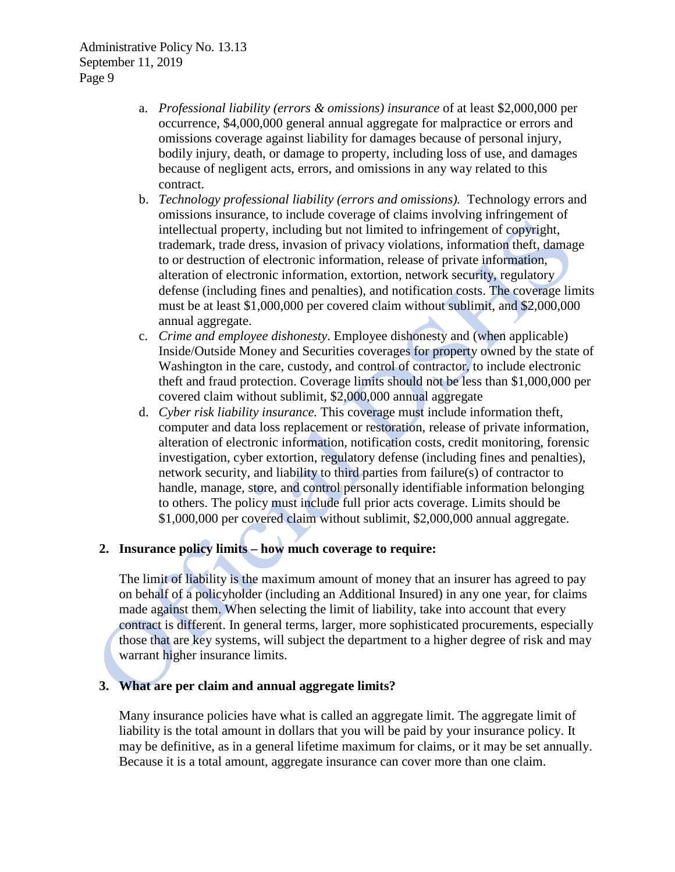- a. *Professional liability (errors & omissions) insurance* of at least \$2,000,000 per occurrence, \$4,000,000 general annual aggregate for malpractice or errors and omissions coverage against liability for damages because of personal injury, bodily injury, death, or damage to property, including loss of use, and damages because of negligent acts, errors, and omissions in any way related to this contract.
- b. *Technology professional liability (errors and omissions).* Technology errors and omissions insurance, to include coverage of claims involving infringement of intellectual property, including but not limited to infringement of copyright, trademark, trade dress, invasion of privacy violations, information theft, damage to or destruction of electronic information, release of private information, alteration of electronic information, extortion, network security, regulatory defense (including fines and penalties), and notification costs. The coverage limits must be at least \$1,000,000 per covered claim without sublimit, and \$2,000,000 annual aggregate.
- c. *Crime and employee dishonesty*. Employee dishonesty and (when applicable) Inside/Outside Money and Securities coverages for property owned by the state of Washington in the care, custody, and control of contractor, to include electronic theft and fraud protection. Coverage limits should not be less than \$1,000,000 per covered claim without sublimit, \$2,000,000 annual aggregate
- d. *Cyber risk liability insurance.* This coverage must include information theft, computer and data loss replacement or restoration, release of private information, alteration of electronic information, notification costs, credit monitoring, forensic investigation, cyber extortion, regulatory defense (including fines and penalties), network security, and liability to third parties from failure(s) of contractor to handle, manage, store, and control personally identifiable information belonging to others. The policy must include full prior acts coverage. Limits should be \$1,000,000 per covered claim without sublimit, \$2,000,000 annual aggregate.

# **2. Insurance policy limits – how much coverage to require:**

The limit of liability is the maximum amount of money that an insurer has agreed to pay on behalf of a policyholder (including an Additional Insured) in any one year, for claims made against them. When selecting the limit of liability, take into account that every contract is different. In general terms, larger, more sophisticated procurements, especially those that are key systems, will subject the department to a higher degree of risk and may warrant higher insurance limits.

#### **3. What are per claim and annual aggregate limits?**

Many insurance policies have what is called an aggregate limit. The aggregate limit of liability is the total amount in dollars that you will be paid by your insurance policy. It may be definitive, as in a general lifetime maximum for claims, or it may be set annually. Because it is a total amount, aggregate insurance can cover more than one claim.